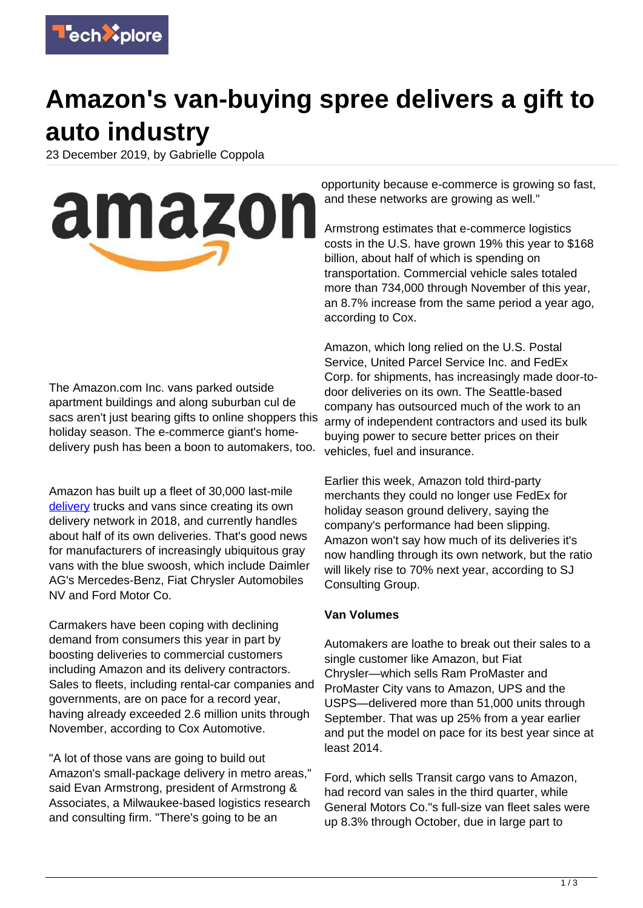

## **Amazon's van-buying spree delivers a gift to auto industry**

23 December 2019, by Gabrielle Coppola

amazon

The Amazon.com Inc. vans parked outside apartment buildings and along suburban cul de sacs aren't just bearing gifts to online shoppers this holiday season. The e-commerce giant's homedelivery push has been a boon to automakers, too.

Amazon has built up a fleet of 30,000 last-mile [delivery](https://techxplore.com/tags/delivery/) trucks and vans since creating its own delivery network in 2018, and currently handles about half of its own deliveries. That's good news for manufacturers of increasingly ubiquitous gray vans with the blue swoosh, which include Daimler AG's Mercedes-Benz, Fiat Chrysler Automobiles NV and Ford Motor Co.

Carmakers have been coping with declining demand from consumers this year in part by boosting deliveries to commercial customers including Amazon and its delivery contractors. Sales to fleets, including rental-car companies and governments, are on pace for a record year, having already exceeded 2.6 million units through November, according to Cox Automotive.

"A lot of those vans are going to build out Amazon's small-package delivery in metro areas," said Evan Armstrong, president of Armstrong & Associates, a Milwaukee-based logistics research and consulting firm. "There's going to be an

opportunity because e-commerce is growing so fast, and these networks are growing as well."

Armstrong estimates that e-commerce logistics costs in the U.S. have grown 19% this year to \$168 billion, about half of which is spending on transportation. Commercial vehicle sales totaled more than 734,000 through November of this year, an 8.7% increase from the same period a year ago, according to Cox.

Amazon, which long relied on the U.S. Postal Service, United Parcel Service Inc. and FedEx Corp. for shipments, has increasingly made door-todoor deliveries on its own. The Seattle-based company has outsourced much of the work to an army of independent contractors and used its bulk buying power to secure better prices on their vehicles, fuel and insurance.

Earlier this week, Amazon told third-party merchants they could no longer use FedEx for holiday season ground delivery, saying the company's performance had been slipping. Amazon won't say how much of its deliveries it's now handling through its own network, but the ratio will likely rise to 70% next year, according to SJ Consulting Group.

## **Van Volumes**

Automakers are loathe to break out their sales to a single customer like Amazon, but Fiat Chrysler—which sells Ram ProMaster and ProMaster City vans to Amazon, UPS and the USPS—delivered more than 51,000 units through September. That was up 25% from a year earlier and put the model on pace for its best year since at least 2014.

Ford, which sells Transit cargo vans to Amazon, had record van sales in the third quarter, while General Motors Co."s full-size van fleet sales were up 8.3% through October, due in large part to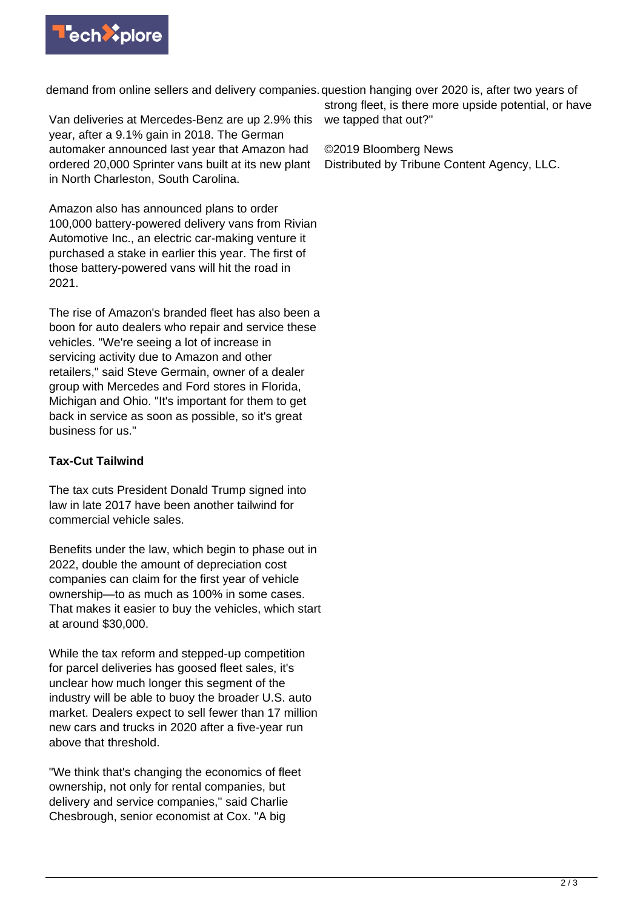

demand from online sellers and delivery companies. question hanging over 2020 is, after two years of

Van deliveries at Mercedes-Benz are up 2.9% this year, after a 9.1% gain in 2018. The German automaker announced last year that Amazon had ordered 20,000 Sprinter vans built at its new plant in North Charleston, South Carolina.

Amazon also has announced plans to order 100,000 battery-powered delivery vans from Rivian Automotive Inc., an electric car-making venture it purchased a stake in earlier this year. The first of those battery-powered vans will hit the road in 2021.

The rise of Amazon's branded fleet has also been a boon for auto dealers who repair and service these vehicles. "We're seeing a lot of increase in servicing activity due to Amazon and other retailers," said Steve Germain, owner of a dealer group with Mercedes and Ford stores in Florida, Michigan and Ohio. "It's important for them to get back in service as soon as possible, so it's great business for us."

## **Tax-Cut Tailwind**

The tax cuts President Donald Trump signed into law in late 2017 have been another tailwind for commercial vehicle sales.

Benefits under the law, which begin to phase out in 2022, double the amount of depreciation cost companies can claim for the first year of vehicle ownership—to as much as 100% in some cases. That makes it easier to buy the vehicles, which start at around \$30,000.

While the tax reform and stepped-up competition for parcel deliveries has goosed fleet sales, it's unclear how much longer this segment of the industry will be able to buoy the broader U.S. auto market. Dealers expect to sell fewer than 17 million new cars and trucks in 2020 after a five-year run above that threshold.

"We think that's changing the economics of fleet ownership, not only for rental companies, but delivery and service companies," said Charlie Chesbrough, senior economist at Cox. "A big

strong fleet, is there more upside potential, or have we tapped that out?"

©2019 Bloomberg News

Distributed by Tribune Content Agency, LLC.